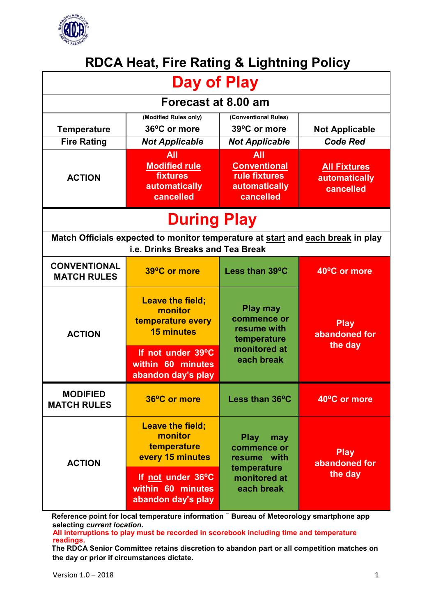

# **RDCA Heat, Fire Rating & Lightning Policy**

| <b>Day of Play</b>                                                                                                  |                                                                              |                                                                                               |                                                   |
|---------------------------------------------------------------------------------------------------------------------|------------------------------------------------------------------------------|-----------------------------------------------------------------------------------------------|---------------------------------------------------|
| Forecast at 8.00 am                                                                                                 |                                                                              |                                                                                               |                                                   |
| <b>Temperature</b><br><b>Fire Rating</b>                                                                            | (Modified Rules only)<br>36°C or more<br><b>Not Applicable</b><br><b>All</b> | (Conventional Rules)<br>39°C or more<br><b>Not Applicable</b><br><b>All</b>                   | <b>Not Applicable</b><br><b>Code Red</b>          |
| <b>ACTION</b>                                                                                                       | <b>Modified rule</b><br><b>fixtures</b><br>automatically<br>cancelled        | <b>Conventional</b><br><b>rule fixtures</b><br><b>automatically</b><br>cancelled              | <b>All Fixtures</b><br>automatically<br>cancelled |
| <b>During Play</b>                                                                                                  |                                                                              |                                                                                               |                                                   |
| Match Officials expected to monitor temperature at start and each break in play<br>i.e. Drinks Breaks and Tea Break |                                                                              |                                                                                               |                                                   |
| <b>CONVENTIONAL</b><br><b>MATCH RULES</b>                                                                           | 39°C or more                                                                 | Less than 39°C                                                                                | 40°C or more                                      |
| <b>ACTION</b>                                                                                                       | <b>Leave the field;</b><br>monitor<br>temperature every<br><b>15 minutes</b> | <b>Play may</b><br>commence or<br>resume with<br>temperature<br>monitored at<br>each break    | <b>Play</b><br>abandoned for<br>the day           |
|                                                                                                                     | If not under 39°C<br>within 60 minutes<br>abandon day's play                 |                                                                                               |                                                   |
| <b>MODIFIED</b><br><b>MATCH RULES</b>                                                                               | 36°C or more                                                                 | Less than 36°C                                                                                | 40°C or more                                      |
| <b>ACTION</b>                                                                                                       | <b>Leave the field;</b><br>monitor<br>temperature<br>every 15 minutes        | <b>Play</b><br>may<br>commence or<br>resume with<br>temperature<br>monitored at<br>each break | <b>Play</b><br>abandoned for<br>the day           |
|                                                                                                                     | If not under 36°C<br>within 60 minutes<br>abandon day's play                 |                                                                                               |                                                   |

**Reference point for local temperature information – Bureau of Meteorology smartphone app selecting** *current location***.** 

**All interruptions to play must be recorded in scorebook including time and temperature readings.**

**The RDCA Senior Committee retains discretion to abandon part or all competition matches on the day or prior if circumstances dictate**.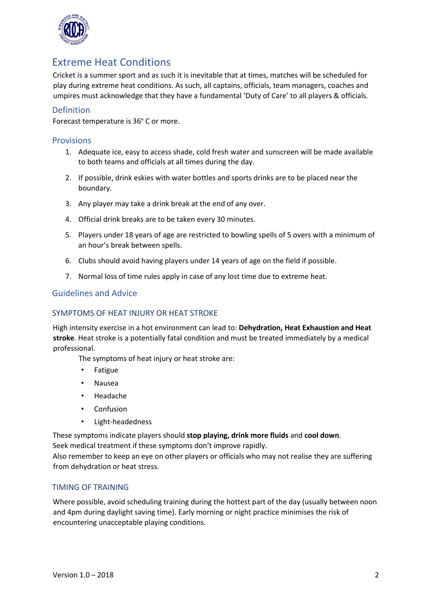

## Extreme Heat Conditions

Cricket is a summer sport and as such it is inevitable that at times, matches will be scheduled for play during extreme heat conditions. As such, all captains, officials, team managers, coaches and umpires must acknowledge that they have a fundamental 'Duty of Care' to all players & officials.

### Definition

Forecast temperature is 36º C or more.

#### Provisions

- 1. Adequate ice, easy to access shade, cold fresh water and sunscreen will be made available to both teams and officials at all times during the day.
- 2. If possible, drink eskies with water bottles and sports drinks are to be placed near the boundary.
- 3. Any player may take a drink break at the end of any over.
- 4. Official drink breaks are to be taken every 30 minutes.
- 5. Players under 18 years of age are restricted to bowling spells of 5 overs with a minimum of an hour's break between spells.
- 6. Clubs should avoid having players under 14 years of age on the field if possible.
- 7. Normal loss of time rules apply in case of any lost time due to extreme heat.

#### Guidelines and Advice

#### SYMPTOMS OF HEAT INJURY OR HEAT STROKE

High intensity exercise in a hot environment can lead to: **Dehydration, Heat Exhaustion and Heat stroke**. Heat stroke is a potentially fatal condition and must be treated immediately by a medical professional.

The symptoms of heat injury or heat stroke are:

- Fatigue
- Nausea
- Headache
- Confusion
- Light-headedness

These symptoms indicate players should **stop playing, drink more fluids** and **cool down**.

Seek medical treatment if these symptoms don't improve rapidly.

Also remember to keep an eye on other players or officials who may not realise they are suffering from dehydration or heat stress.

#### TIMING OF TRAINING

Where possible, avoid scheduling training during the hottest part of the day (usually between noon and 4pm during daylight saving time). Early morning or night practice minimises the risk of encountering unacceptable playing conditions.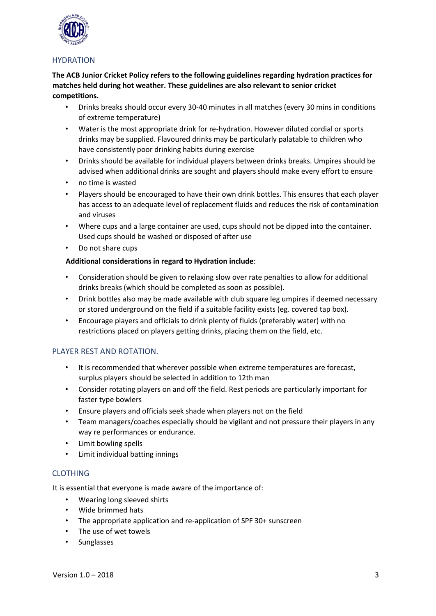

#### **HYDRATION**

**The ACB Junior Cricket Policy refers to the following guidelines regarding hydration practices for matches held during hot weather. These guidelines are also relevant to senior cricket competitions.**

- Drinks breaks should occur every 30-40 minutes in all matches (every 30 mins in conditions of extreme temperature)
- Water is the most appropriate drink for re-hydration. However diluted cordial or sports drinks may be supplied. Flavoured drinks may be particularly palatable to children who have consistently poor drinking habits during exercise
- Drinks should be available for individual players between drinks breaks. Umpires should be advised when additional drinks are sought and players should make every effort to ensure
- no time is wasted
- Players should be encouraged to have their own drink bottles. This ensures that each player has access to an adequate level of replacement fluids and reduces the risk of contamination and viruses
- Where cups and a large container are used, cups should not be dipped into the container. Used cups should be washed or disposed of after use
- Do not share cups

#### **Additional considerations in regard to Hydration include**:

- Consideration should be given to relaxing slow over rate penalties to allow for additional drinks breaks (which should be completed as soon as possible).
- Drink bottles also may be made available with club square leg umpires if deemed necessary or stored underground on the field if a suitable facility exists (eg. covered tap box).
- Encourage players and officials to drink plenty of fluids (preferably water) with no restrictions placed on players getting drinks, placing them on the field, etc.

#### PLAYER REST AND ROTATION.

- It is recommended that wherever possible when extreme temperatures are forecast, surplus players should be selected in addition to 12th man
- Consider rotating players on and off the field. Rest periods are particularly important for faster type bowlers
- Ensure players and officials seek shade when players not on the field
- Team managers/coaches especially should be vigilant and not pressure their players in any way re performances or endurance.
- Limit bowling spells
- Limit individual batting innings

#### CLOTHING

It is essential that everyone is made aware of the importance of:

- Wearing long sleeved shirts
- Wide brimmed hats
- The appropriate application and re-application of SPF 30+ sunscreen
- The use of wet towels
- **Sunglasses**